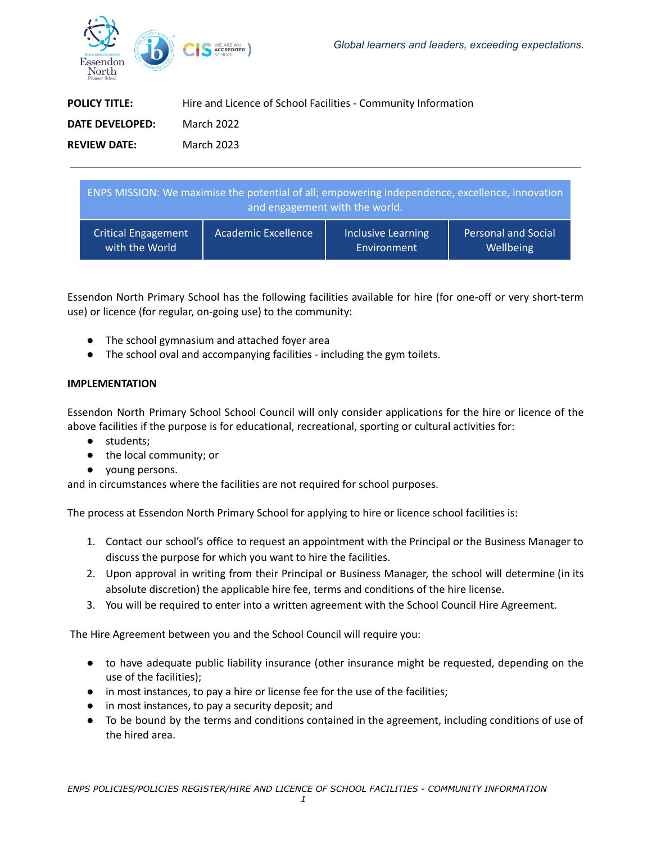

| <b>POLICY TITLE:</b> | Hire and Licence of School Facilities - Community Information |  |
|----------------------|---------------------------------------------------------------|--|
| DATE DEVELOPED:      | March 2022                                                    |  |
| <b>REVIEW DATE:</b>  | March 2023                                                    |  |

| ENPS MISSION: We maximise the potential of all; empowering independence, excellence, innovation<br>and engagement with the world. |                            |                    |                            |  |
|-----------------------------------------------------------------------------------------------------------------------------------|----------------------------|--------------------|----------------------------|--|
| <b>Critical Engagement</b>                                                                                                        | <b>Academic Excellence</b> | Inclusive Learning | <b>Personal and Social</b> |  |
| with the World                                                                                                                    |                            | Environment        | Wellbeing                  |  |

Essendon North Primary School has the following facilities available for hire (for one-off or very short-term use) or licence (for regular, on-going use) to the community:

- The school gymnasium and attached foyer area
- The school oval and accompanying facilities including the gym toilets.

## **IMPLEMENTATION**

Essendon North Primary School School Council will only consider applications for the hire or licence of the above facilities if the purpose is for educational, recreational, sporting or cultural activities for:

- students;
- the local community; or
- young persons.

and in circumstances where the facilities are not required for school purposes.

The process at Essendon North Primary School for applying to hire or licence school facilities is:

- 1. Contact our school's office to request an appointment with the Principal or the Business Manager to discuss the purpose for which you want to hire the facilities.
- 2. Upon approval in writing from their Principal or Business Manager, the school will determine (in its absolute discretion) the applicable hire fee, terms and conditions of the hire license.
- 3. You will be required to enter into a written agreement with the School Council Hire Agreement.

The Hire Agreement between you and the School Council will require you:

- to have adequate public liability insurance (other insurance might be requested, depending on the use of the facilities);
- in most instances, to pay a hire or license fee for the use of the facilities;
- in most instances, to pay a security deposit; and
- To be bound by the terms and conditions contained in the agreement, including conditions of use of the hired area.